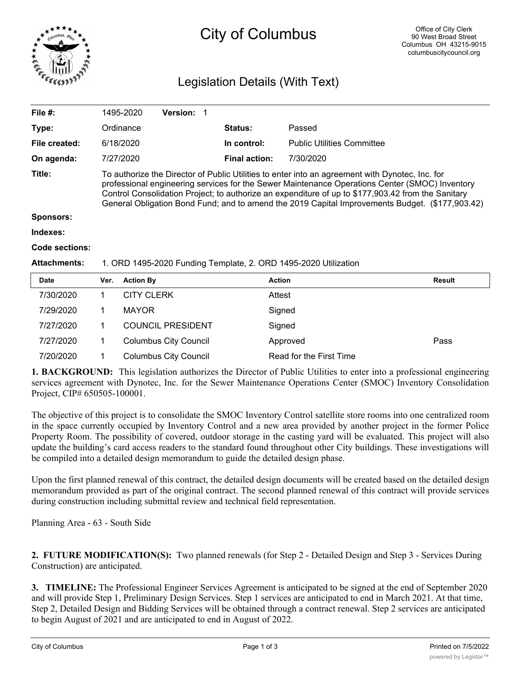

# City of Columbus

# Legislation Details (With Text)

| <b>Date</b>         | <b>Action By</b><br>Ver.                                                                                                                                                                                                                                                                                                                                                                                   |                 |  | <b>Action</b>        |                                   | Result |  |
|---------------------|------------------------------------------------------------------------------------------------------------------------------------------------------------------------------------------------------------------------------------------------------------------------------------------------------------------------------------------------------------------------------------------------------------|-----------------|--|----------------------|-----------------------------------|--------|--|
| <b>Attachments:</b> | 1. ORD 1495-2020 Funding Template, 2. ORD 1495-2020 Utilization                                                                                                                                                                                                                                                                                                                                            |                 |  |                      |                                   |        |  |
| Code sections:      |                                                                                                                                                                                                                                                                                                                                                                                                            |                 |  |                      |                                   |        |  |
| Indexes:            |                                                                                                                                                                                                                                                                                                                                                                                                            |                 |  |                      |                                   |        |  |
| <b>Sponsors:</b>    |                                                                                                                                                                                                                                                                                                                                                                                                            |                 |  |                      |                                   |        |  |
| Title:              | To authorize the Director of Public Utilities to enter into an agreement with Dynotec, Inc. for<br>professional engineering services for the Sewer Maintenance Operations Center (SMOC) Inventory<br>Control Consolidation Project; to authorize an expenditure of up to \$177,903.42 from the Sanitary<br>General Obligation Bond Fund; and to amend the 2019 Capital Improvements Budget. (\$177,903.42) |                 |  |                      |                                   |        |  |
| On agenda:          | 7/27/2020                                                                                                                                                                                                                                                                                                                                                                                                  |                 |  | <b>Final action:</b> | 7/30/2020                         |        |  |
| File created:       | 6/18/2020                                                                                                                                                                                                                                                                                                                                                                                                  |                 |  | In control:          | <b>Public Utilities Committee</b> |        |  |
| Type:               | Ordinance                                                                                                                                                                                                                                                                                                                                                                                                  |                 |  | <b>Status:</b>       | Passed                            |        |  |
| File #:             | 1495-2020                                                                                                                                                                                                                                                                                                                                                                                                  | <b>Version:</b> |  |                      |                                   |        |  |
|                     |                                                                                                                                                                                                                                                                                                                                                                                                            |                 |  |                      |                                   |        |  |

| <b>Date</b> | Ver. | <b>Action By</b>             | Action                  | Result |
|-------------|------|------------------------------|-------------------------|--------|
| 7/30/2020   |      | <b>CITY CLERK</b>            | Attest                  |        |
| 7/29/2020   |      | <b>MAYOR</b>                 | Signed                  |        |
| 7/27/2020   |      | <b>COUNCIL PRESIDENT</b>     | Signed                  |        |
| 7/27/2020   |      | <b>Columbus City Council</b> | Approved                | Pass   |
| 7/20/2020   |      | <b>Columbus City Council</b> | Read for the First Time |        |

**1. BACKGROUND:** This legislation authorizes the Director of Public Utilities to enter into a professional engineering services agreement with Dynotec, Inc. for the Sewer Maintenance Operations Center (SMOC) Inventory Consolidation Project, CIP# 650505-100001.

The objective of this project is to consolidate the SMOC Inventory Control satellite store rooms into one centralized room in the space currently occupied by Inventory Control and a new area provided by another project in the former Police Property Room. The possibility of covered, outdoor storage in the casting yard will be evaluated. This project will also update the building's card access readers to the standard found throughout other City buildings. These investigations will be compiled into a detailed design memorandum to guide the detailed design phase.

Upon the first planned renewal of this contract, the detailed design documents will be created based on the detailed design memorandum provided as part of the original contract. The second planned renewal of this contract will provide services during construction including submittal review and technical field representation.

Planning Area - 63 - South Side

**2. FUTURE MODIFICATION(S):** Two planned renewals (for Step 2 - Detailed Design and Step 3 - Services During Construction) are anticipated.

**3. TIMELINE:** The Professional Engineer Services Agreement is anticipated to be signed at the end of September 2020 and will provide Step 1, Preliminary Design Services. Step 1 services are anticipated to end in March 2021. At that time, Step 2, Detailed Design and Bidding Services will be obtained through a contract renewal. Step 2 services are anticipated to begin August of 2021 and are anticipated to end in August of 2022.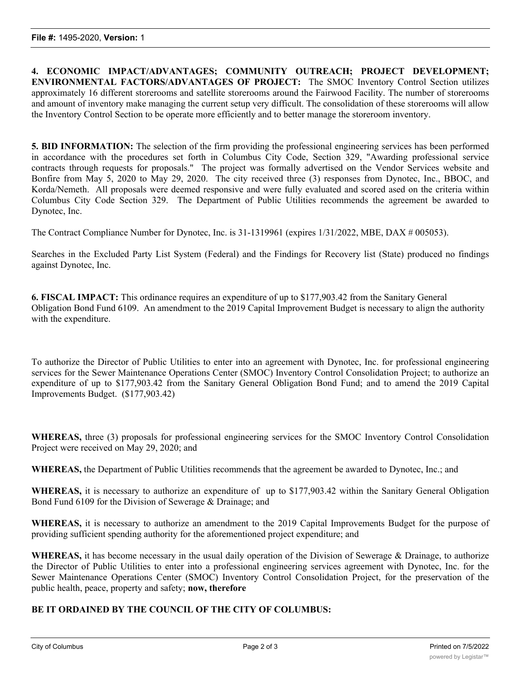**4. ECONOMIC IMPACT/ADVANTAGES; COMMUNITY OUTREACH; PROJECT DEVELOPMENT; ENVIRONMENTAL FACTORS/ADVANTAGES OF PROJECT:** The SMOC Inventory Control Section utilizes approximately 16 different storerooms and satellite storerooms around the Fairwood Facility. The number of storerooms and amount of inventory make managing the current setup very difficult. The consolidation of these storerooms will allow the Inventory Control Section to be operate more efficiently and to better manage the storeroom inventory.

**5. BID INFORMATION:** The selection of the firm providing the professional engineering services has been performed in accordance with the procedures set forth in Columbus City Code, Section 329, "Awarding professional service contracts through requests for proposals." The project was formally advertised on the Vendor Services website and Bonfire from May 5, 2020 to May 29, 2020. The city received three (3) responses from Dynotec, Inc., BBOC, and Korda/Nemeth. All proposals were deemed responsive and were fully evaluated and scored ased on the criteria within Columbus City Code Section 329. The Department of Public Utilities recommends the agreement be awarded to Dynotec, Inc.

The Contract Compliance Number for Dynotec, Inc. is 31-1319961 (expires 1/31/2022, MBE, DAX # 005053).

Searches in the Excluded Party List System (Federal) and the Findings for Recovery list (State) produced no findings against Dynotec, Inc.

**6. FISCAL IMPACT:** This ordinance requires an expenditure of up to \$177,903.42 from the Sanitary General Obligation Bond Fund 6109. An amendment to the 2019 Capital Improvement Budget is necessary to align the authority with the expenditure.

To authorize the Director of Public Utilities to enter into an agreement with Dynotec, Inc. for professional engineering services for the Sewer Maintenance Operations Center (SMOC) Inventory Control Consolidation Project; to authorize an expenditure of up to \$177,903.42 from the Sanitary General Obligation Bond Fund; and to amend the 2019 Capital Improvements Budget. (\$177,903.42)

**WHEREAS,** three (3) proposals for professional engineering services for the SMOC Inventory Control Consolidation Project were received on May 29, 2020; and

**WHEREAS,** the Department of Public Utilities recommends that the agreement be awarded to Dynotec, Inc.; and

**WHEREAS,** it is necessary to authorize an expenditure of up to \$177,903.42 within the Sanitary General Obligation Bond Fund 6109 for the Division of Sewerage & Drainage; and

**WHEREAS,** it is necessary to authorize an amendment to the 2019 Capital Improvements Budget for the purpose of providing sufficient spending authority for the aforementioned project expenditure; and

**WHEREAS,** it has become necessary in the usual daily operation of the Division of Sewerage & Drainage, to authorize the Director of Public Utilities to enter into a professional engineering services agreement with Dynotec, Inc. for the Sewer Maintenance Operations Center (SMOC) Inventory Control Consolidation Project, for the preservation of the public health, peace, property and safety; **now, therefore**

## **BE IT ORDAINED BY THE COUNCIL OF THE CITY OF COLUMBUS:**